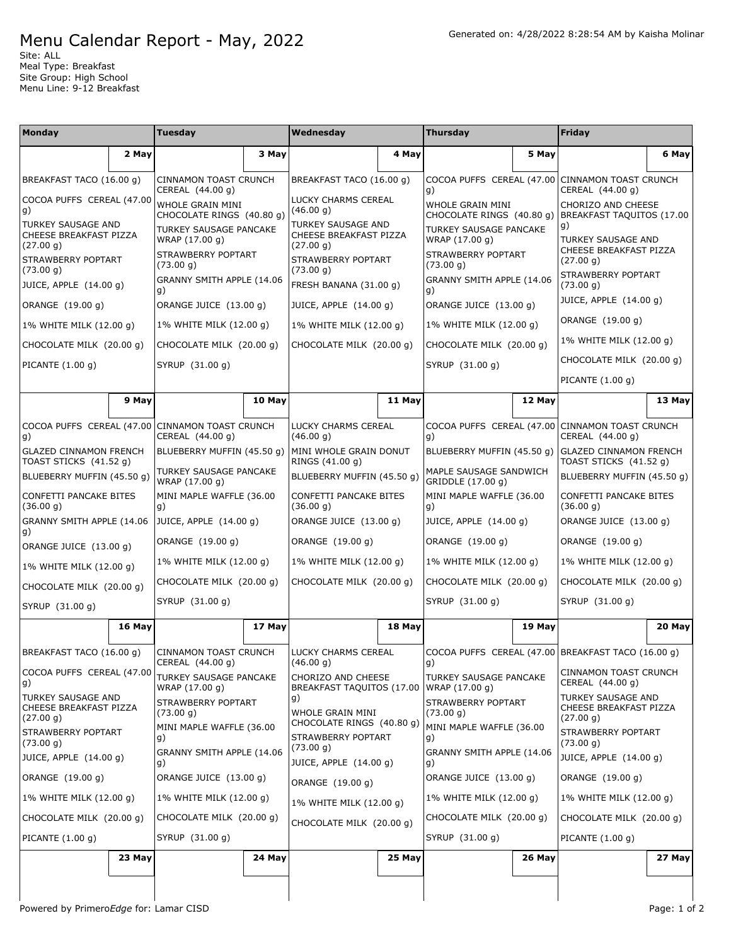## Menu Calendar Report - May, 2022

Site: ALL Meal Type: Breakfast Site Group: High School Menu Line: 9-12 Breakfast

| <b>Monday</b>                                                    |        | Tuesday                                          |        | Wednesday                                                                                                        |        | <b>Thursday</b>                                                   |        | Friday                                                              |              |
|------------------------------------------------------------------|--------|--------------------------------------------------|--------|------------------------------------------------------------------------------------------------------------------|--------|-------------------------------------------------------------------|--------|---------------------------------------------------------------------|--------------|
|                                                                  | 2 May  |                                                  | 3 May  |                                                                                                                  | 4 May  |                                                                   | 5 May  |                                                                     | 6 May        |
| BREAKFAST TACO (16.00 g)                                         |        | <b>CINNAMON TOAST CRUNCH</b><br>CEREAL (44.00 g) |        | BREAKFAST TACO (16.00 g)                                                                                         |        | g)                                                                |        | COCOA PUFFS CEREAL (47.00 CINNAMON TOAST CRUNCH<br>CEREAL (44.00 g) |              |
| COCOA PUFFS CEREAL (47.00<br>g)                                  |        | WHOLE GRAIN MINI<br>CHOCOLATE RINGS (40.80 g)    |        | LUCKY CHARMS CEREAL<br>(46.00 g)                                                                                 |        | WHOLE GRAIN MINI<br>CHOCOLATE RINGS (40.80 g)                     |        | CHORIZO AND CHEESE<br>BREAKFAST TAQUITOS (17.00                     |              |
| <b>TURKEY SAUSAGE AND</b><br>CHEESE BREAKFAST PIZZA<br>(27.00 g) |        | TURKEY SAUSAGE PANCAKE<br>WRAP (17.00 g)         |        | <b>TURKEY SAUSAGE AND</b><br>CHEESE BREAKFAST PIZZA<br>(27.00 g)                                                 |        | TURKEY SAUSAGE PANCAKE<br>WRAP (17.00 g)                          |        | g)<br><b>TURKEY SAUSAGE AND</b>                                     |              |
| STRAWBERRY POPTART<br>(73.00 g)                                  |        | STRAWBERRY POPTART<br>(73.00 g)                  |        | STRAWBERRY POPTART<br>(73.00 g)                                                                                  |        | STRAWBERRY POPTART<br>(73.00 g)                                   |        | CHEESE BREAKFAST PIZZA<br>(27.00 g)<br>STRAWBERRY POPTART           |              |
| JUICE, APPLE (14.00 g)                                           |        | GRANNY SMITH APPLE (14.06<br>g)                  |        | FRESH BANANA (31.00 g)                                                                                           |        | GRANNY SMITH APPLE (14.06<br>g)                                   |        | (73.00 g)                                                           |              |
| ORANGE (19.00 g)                                                 |        | ORANGE JUICE (13.00 g)                           |        | JUICE, APPLE (14.00 g)                                                                                           |        | ORANGE JUICE (13.00 g)                                            |        | JUICE, APPLE (14.00 g)                                              |              |
| 1% WHITE MILK (12.00 g)                                          |        | 1% WHITE MILK (12.00 g)                          |        | 1% WHITE MILK (12.00 g)                                                                                          |        | 1% WHITE MILK (12.00 g)                                           |        | ORANGE (19.00 g)                                                    |              |
| CHOCOLATE MILK (20.00 g)                                         |        | CHOCOLATE MILK (20.00 g)                         |        | CHOCOLATE MILK (20.00 g)                                                                                         |        | CHOCOLATE MILK (20.00 g)                                          |        | 1% WHITE MILK (12.00 g)                                             |              |
| PICANTE $(1.00 q)$                                               |        | SYRUP (31.00 g)                                  |        |                                                                                                                  |        | SYRUP (31.00 g)                                                   |        | CHOCOLATE MILK (20.00 g)                                            |              |
|                                                                  |        |                                                  |        |                                                                                                                  |        |                                                                   |        | PICANTE $(1.00 g)$                                                  |              |
|                                                                  | 9 May  |                                                  | 10 May |                                                                                                                  | 11 May |                                                                   | 12 May |                                                                     | 13 May       |
| COCOA PUFFS CEREAL (47.00<br>g)                                  |        | <b>CINNAMON TOAST CRUNCH</b><br>CEREAL (44.00 g) |        | LUCKY CHARMS CEREAL<br>(46.00 q)                                                                                 |        | COCOA PUFFS CEREAL (47.00 CINNAMON TOAST CRUNCH<br>g)             |        | CEREAL (44.00 g)                                                    |              |
| <b>GLAZED CINNAMON FRENCH</b><br>TOAST STICKS (41.52 g)          |        | BLUEBERRY MUFFIN (45.50 g)                       |        | MINI WHOLE GRAIN DONUT<br>RINGS (41.00 g)                                                                        |        | BLUEBERRY MUFFIN (45.50 g)                                        |        | <b>GLAZED CINNAMON FRENCH</b><br>TOAST STICKS (41.52 g)             |              |
| BLUEBERRY MUFFIN (45.50 g)                                       |        | TURKEY SAUSAGE PANCAKE<br>WRAP (17.00 g)         |        | BLUEBERRY MUFFIN (45.50 g)                                                                                       |        | MAPLE SAUSAGE SANDWICH<br>GRIDDLE (17.00 g)                       |        | BLUEBERRY MUFFIN (45.50 g)                                          |              |
| CONFETTI PANCAKE BITES<br>(36.00 g)                              |        | MINI MAPLE WAFFLE (36.00<br>g)                   |        | CONFETTI PANCAKE BITES<br>(36.00 g)                                                                              |        | MINI MAPLE WAFFLE (36.00<br>g)                                    |        | CONFETTI PANCAKE BITES<br>(36.00 g)                                 |              |
| GRANNY SMITH APPLE (14.06 JUICE, APPLE (14.00 g)                 |        |                                                  |        | ORANGE JUICE (13.00 g)                                                                                           |        | JUICE, APPLE (14.00 g)                                            |        | ORANGE JUICE (13.00 g)                                              |              |
| g)<br>ORANGE JUICE (13.00 g)                                     |        | ORANGE (19.00 g)                                 |        | ORANGE (19.00 g)                                                                                                 |        | ORANGE (19.00 g)                                                  |        | ORANGE (19.00 g)                                                    |              |
| 1% WHITE MILK (12.00 g)                                          |        | 1% WHITE MILK (12.00 g)                          |        | 1% WHITE MILK (12.00 g)                                                                                          |        | 1% WHITE MILK (12.00 g)                                           |        | 1% WHITE MILK (12.00 g)                                             |              |
| CHOCOLATE MILK (20.00 q)                                         |        | CHOCOLATE MILK (20.00 g)                         |        | CHOCOLATE MILK (20.00 g)                                                                                         |        | CHOCOLATE MILK (20.00 g)                                          |        | CHOCOLATE MILK (20.00 g)                                            |              |
| SYRUP (31.00 g)                                                  |        | SYRUP (31.00 g)                                  |        |                                                                                                                  |        | SYRUP (31.00 g)                                                   |        | SYRUP (31.00 g)                                                     |              |
|                                                                  | 16 May |                                                  | 17 May |                                                                                                                  | 18 May |                                                                   | 19 May |                                                                     | 20 May       |
| BREAKFAST TACO (16.00 q)                                         |        | CINNAMON TOAST CRUNCH<br>CEREAL (44.00 g)        |        | <b>LUCKY CHARMS CEREAL</b><br>(46.00 g)                                                                          |        | COCOA PUFFS CEREAL (47.00 BREAKFAST TACO (16.00 g)<br>g)          |        |                                                                     |              |
| COCOA PUFFS CEREAL (47.00<br>g)                                  |        | TURKEY SAUSAGE PANCAKE<br>WRAP (17.00 g)         |        | <b>CHORIZO AND CHEESE</b><br>BREAKFAST TAQUITOS (17.00                                                           |        | TURKEY SAUSAGE PANCAKE<br>WRAP (17.00 g)                          |        | <b>CINNAMON TOAST CRUNCH</b><br>CEREAL (44.00 g)                    |              |
| TURKEY SAUSAGE AND<br>CHEESE BREAKFAST PIZZA                     |        | STRAWBERRY POPTART<br>(73.00 g)                  |        | g)<br>WHOLE GRAIN MINI<br>CHOCOLATE RINGS (40.80 g)<br>STRAWBERRY POPTART<br>(73.00 g)<br>JUICE, APPLE (14.00 g) |        | STRAWBERRY POPTART<br>(73.00 g)<br>MINI MAPLE WAFFLE (36.00<br>g) |        | TURKEY SAUSAGE AND<br>CHEESE BREAKFAST PIZZA<br>(27.00 g)           |              |
| (27.00 g)<br>STRAWBERRY POPTART<br>(73.00 g)                     |        | MINI MAPLE WAFFLE (36.00<br>g)                   |        |                                                                                                                  |        |                                                                   |        | STRAWBERRY POPTART<br>(73.00 g)                                     |              |
| JUICE, APPLE (14.00 g)                                           |        | GRANNY SMITH APPLE (14.06<br>g)                  |        |                                                                                                                  |        | GRANNY SMITH APPLE (14.06<br>g)                                   |        | JUICE, APPLE (14.00 g)                                              |              |
| ORANGE (19.00 g)                                                 |        | ORANGE JUICE (13.00 g)                           |        | ORANGE (19.00 g)                                                                                                 |        | ORANGE JUICE (13.00 g)                                            |        | ORANGE (19.00 g)                                                    |              |
| 1% WHITE MILK (12.00 g)                                          |        | 1% WHITE MILK (12.00 g)                          |        | 1% WHITE MILK (12.00 g)                                                                                          |        | 1% WHITE MILK (12.00 g)                                           |        | 1% WHITE MILK (12.00 g)                                             |              |
| CHOCOLATE MILK (20.00 g)                                         |        | CHOCOLATE MILK (20.00 g)                         |        | CHOCOLATE MILK (20.00 g)                                                                                         |        | CHOCOLATE MILK (20.00 g)                                          |        | CHOCOLATE MILK (20.00 g)                                            |              |
| PICANTE (1.00 g)                                                 |        | SYRUP (31.00 g)                                  |        |                                                                                                                  |        | SYRUP (31.00 g)                                                   |        | PICANTE (1.00 g)                                                    |              |
|                                                                  | 23 May |                                                  | 24 May |                                                                                                                  | 25 May |                                                                   | 26 May |                                                                     | 27 May       |
|                                                                  |        |                                                  |        |                                                                                                                  |        |                                                                   |        |                                                                     |              |
| Powered by PrimeroEdge for: Lamar CISD                           |        |                                                  |        |                                                                                                                  |        |                                                                   |        |                                                                     | Page: 1 of 2 |